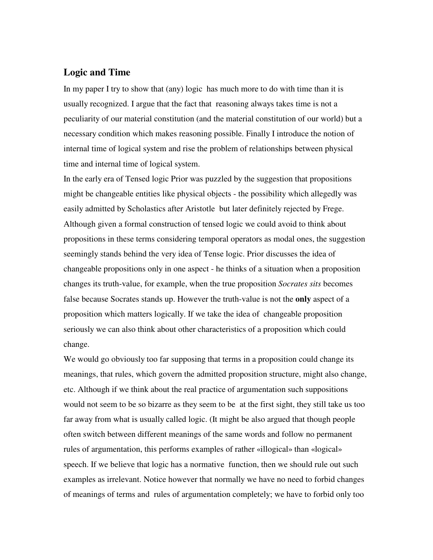## **Logic and Time**

In my paper I try to show that (any) logic has much more to do with time than it is usually recognized. I argue that the fact that reasoning always takes time is not a peculiarity of our material constitution (and the material constitution of our world) but a necessary condition which makes reasoning possible. Finally I introduce the notion of internal time of logical system and rise the problem of relationships between physical time and internal time of logical system.

In the early era of Tensed logic Prior was puzzled by the suggestion that propositions might be changeable entities like physical objects - the possibility which allegedly was easily admitted by Scholastics after Aristotle but later definitely rejected by Frege. Although given a formal construction of tensed logic we could avoid to think about propositions in these terms considering temporal operators as modal ones, the suggestion seemingly stands behind the very idea of Tense logic. Prior discusses the idea of changeable propositions only in one aspect - he thinks of a situation when a proposition changes its truth-value, for example, when the true proposition *Socrates sits* becomes false because Socrates stands up. However the truth-value is not the **only** aspect of a proposition which matters logically. If we take the idea of changeable proposition seriously we can also think about other characteristics of a proposition which could change.

We would go obviously too far supposing that terms in a proposition could change its meanings, that rules, which govern the admitted proposition structure, might also change, etc. Although if we think about the real practice of argumentation such suppositions would not seem to be so bizarre as they seem to be at the first sight, they still take us too far away from what is usually called logic. (It might be also argued that though people often switch between different meanings of the same words and follow no permanent rules of argumentation, this performs examples of rather «illogical» than «logical» speech. If we believe that logic has a normative function, then we should rule out such examples as irrelevant. Notice however that normally we have no need to forbid changes of meanings of terms and rules of argumentation completely; we have to forbid only too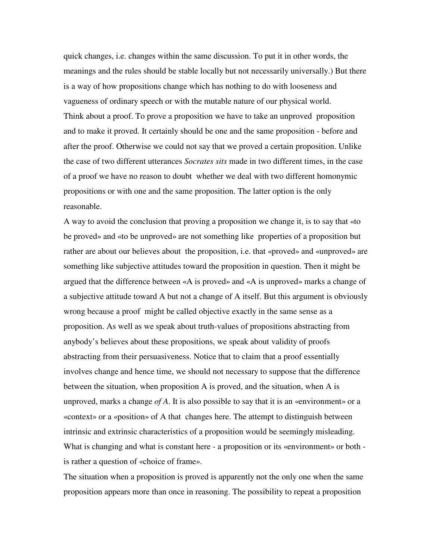quick changes, i.e. changes within the same discussion. To put it in other words, the meanings and the rules should be stable locally but not necessarily universally.) But there is a way of how propositions change which has nothing to do with looseness and vagueness of ordinary speech or with the mutable nature of our physical world. Think about a proof. To prove a proposition we have to take an unproved proposition and to make it proved. It certainly should be one and the same proposition - before and after the proof. Otherwise we could not say that we proved a certain proposition. Unlike the case of two different utterances *Socrates sits* made in two different times, in the case of a proof we have no reason to doubt whether we deal with two different homonymic propositions or with one and the same proposition. The latter option is the only reasonable.

A way to avoid the conclusion that proving a proposition we change it, is to say that «to be proved» and «to be unproved» are not something like properties of a proposition but rather are about our believes about the proposition, i.e. that «proved» and «unproved» are something like subjective attitudes toward the proposition in question. Then it might be argued that the difference between «A is proved» and «A is unproved» marks a change of a subjective attitude toward A but not a change of A itself. But this argument is obviously wrong because a proof might be called objective exactly in the same sense as a proposition. As well as we speak about truth-values of propositions abstracting from anybody's believes about these propositions, we speak about validity of proofs abstracting from their persuasiveness. Notice that to claim that a proof essentially involves change and hence time, we should not necessary to suppose that the difference between the situation, when proposition A is proved, and the situation, when A is unproved, marks a change *of A*. It is also possible to say that it is an «environment» or a «context» or a «position» of A that changes here. The attempt to distinguish between intrinsic and extrinsic characteristics of a proposition would be seemingly misleading. What is changing and what is constant here - a proposition or its «environment» or both is rather a question of «choice of frame».

The situation when a proposition is proved is apparently not the only one when the same proposition appears more than once in reasoning. The possibility to repeat a proposition